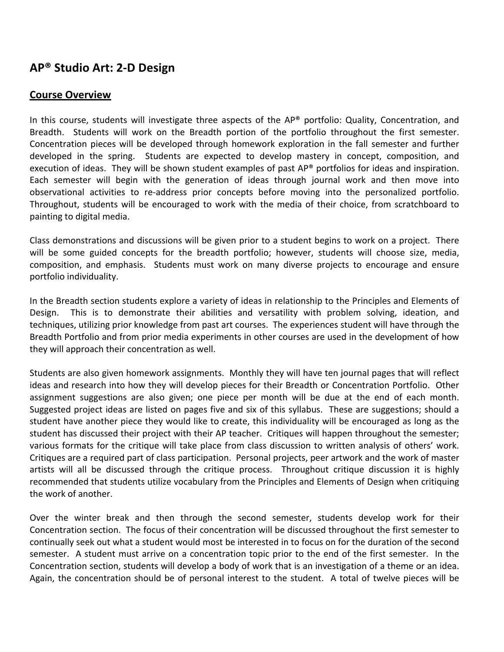# **AP®
Studio
Art:
2‐D
Design**

### **Course
Overview**

In this course, students will investigate three aspects of the AP<sup>®</sup> portfolio: Quality, Concentration, and Breadth. Students will work on the Breadth portion of the portfolio throughout the first semester. Concentration pieces will be developed through homework exploration in the fall semester and further developed in the spring. Students are expected to develop mastery in concept, composition, and execution of ideas. They will be shown student examples of past  $AP^{\circ}$  portfolios for ideas and inspiration. Each semester will begin with the generation of ideas through journal work and then move into observational activities to re-address prior concepts before moving into the personalized portfolio. Throughout, students will be encouraged to work with the media of their choice, from scratchboard to painting
to
digital
media.

Class demonstrations and discussions will be given prior to a student begins to work on a project. There will be some guided concepts for the breadth portfolio; however, students will choose size, media, composition, and emphasis. Students must work on many diverse projects to encourage and ensure portfolio
individuality.

In the Breadth section students explore a variety of ideas in relationship to the Principles and Elements of Design. This is to demonstrate their abilities and versatility with problem solving, ideation, and techniques, utilizing prior knowledge from past art courses. The experiences student will have through the Breadth Portfolio and from prior media experiments in other courses are used in the development of how they will approach their concentration as well.

Students are also given homework assignments. Monthly they will have ten journal pages that will reflect ideas and research into how they will develop pieces for their Breadth or Concentration Portfolio. Other assignment suggestions are also given; one piece per month will be due at the end of each month. Suggested project ideas are listed on pages five and six of this syllabus. These are suggestions; should a student have another piece they would like to create, this individuality will be encouraged as long as the student has discussed their project with their AP teacher. Critiques will happen throughout the semester; various formats for the critique will take place from class discussion to written analysis of others' work. Critiques are a required part of class participation. Personal projects, peer artwork and the work of master artists will all be discussed through the critique process. Throughout critique discussion it is highly recommended that students utilize vocabulary from the Principles and Elements of Design when critiquing the
work
of
another.

Over the winter break and then through the second semester, students develop work for their Concentration section. The focus of their concentration will be discussed throughout the first semester to continually seek out what a student would most be interested in to focus on for the duration of the second semester. A student must arrive on a concentration topic prior to the end of the first semester. In the Concentration section, students will develop a body of work that is an investigation of a theme or an idea. Again, the concentration should be of personal interest to the student. A total of twelve pieces will be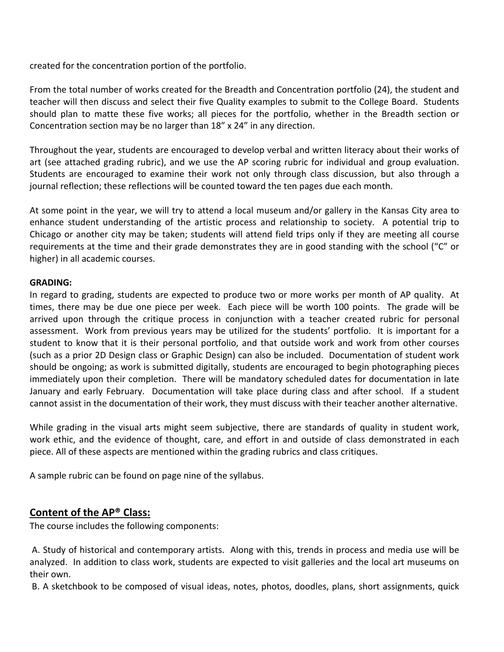created
for
the
concentration
portion
of
the
portfolio.

From the total number of works created for the Breadth and Concentration portfolio (24), the student and teacher will then discuss and select their five Quality examples to submit to the College Board. Students should plan to matte these five works; all pieces for the portfolio, whether in the Breadth section or Concentration
section
may
be
no
larger
than
18"
x
24"
in
any
direction.

Throughout
the
year,
students
are
encouraged
to
develop
verbal
and
written
literacy
about
their
works
of art (see attached grading rubric), and we use the AP scoring rubric for individual and group evaluation. Students are encouraged to examine their work not only through class discussion, but also through a journal reflection; these reflections will be counted toward the ten pages due each month.

At some point in the year, we will try to attend a local museum and/or gallery in the Kansas City area to enhance student understanding of the artistic process and relationship to society. A potential trip to Chicago or another city may be taken; students will attend field trips only if they are meeting all course requirements at the time and their grade demonstrates they are in good standing with the school ("C" or higher)
in
all
academic
courses.

#### **GRADING:**

In regard to grading, students are expected to produce two or more works per month of AP quality. At times, there may be due one piece per week. Each piece will be worth 100 points. The grade will be arrived upon through the critique process in conjunction with a teacher created rubric for personal assessment. Work from previous years may be utilized for the students' portfolio. It is important for a student to know that it is their personal portfolio, and that outside work and work from other courses (such
as
a
prior
2D
Design
class
or
Graphic
Design)
can
also
be
included.

Documentation
of
student
work should be ongoing; as work is submitted digitally, students are encouraged to begin photographing pieces immediately upon their completion. There will be mandatory scheduled dates for documentation in late January and early February. Documentation will take place during class and after school. If a student cannot assist in the documentation of their work, they must discuss with their teacher another alternative.

While grading in the visual arts might seem subjective, there are standards of quality in student work, work ethic, and the evidence of thought, care, and effort in and outside of class demonstrated in each piece.
All
of
these
aspects
are
mentioned
within
the
grading
rubrics
and
class
critiques.

A
sample
rubric
can
be
found
on
page
nine
of
the
syllabus.

# Content of the AP® Class:

The
course
includes
the
following
components:

A. Study of historical and contemporary artists. Along with this, trends in process and media use will be analyzed. In addition to class work, students are expected to visit galleries and the local art museums on their
own.

B. A sketchbook to be composed of visual ideas, notes, photos, doodles, plans, short assignments, quick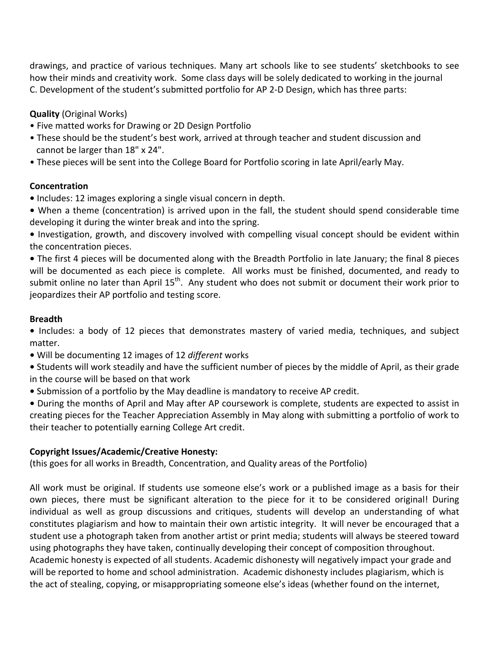drawings, and practice of various techniques. Many art schools like to see students' sketchbooks to see how their minds and creativity work. Some class days will be solely dedicated to working in the journal C. Development of the student's submitted portfolio for AP 2-D Design, which has three parts:

**Quality**(Original
Works)

- Five matted works for Drawing or 2D Design Portfolio
- These should be the student's best work, arrived at through teacher and student discussion and cannot
be
larger
than
18"
x
24".
- These pieces will be sent into the College Board for Portfolio scoring in late April/early May.

#### **Concentration**

- Includes: 12 images exploring a single visual concern in depth.
- When a theme (concentration) is arrived upon in the fall, the student should spend considerable time developing
it
during
the
winter
break
and
into
the
spring.

• Investigation, growth, and discovery involved with compelling visual concept should be evident within the
concentration
pieces.

• The first 4 pieces will be documented along with the Breadth Portfolio in late January; the final 8 pieces will be documented as each piece is complete. All works must be finished, documented, and ready to submit online no later than April 15<sup>th</sup>. Any student who does not submit or document their work prior to jeopardizes
their
AP
portfolio
and
testing
score.

### **Breadth**

• Includes: a body of 12 pieces that demonstrates mastery of varied media, techniques, and subject matter.

- Will
be
documenting
12
images
of
12 *different*works
- Students will work steadily and have the sufficient number of pieces by the middle of April, as their grade in
the
course
will
be
based
on
that
work
- Submission of a portfolio by the May deadline is mandatory to receive AP credit.

• During the months of April and May after AP coursework is complete, students are expected to assist in creating
pieces
for
the
Teacher
Appreciation
Assembly
in
May
along
with
submitting
a
portfolio
of
work
to their
teacher
to
potentially
earning
College
Art
credit.

#### **Copyright
Issues/Academic/Creative
Honesty:**

(this goes for all works in Breadth, Concentration, and Quality areas of the Portfolio)

All work must be original. If students use someone else's work or a published image as a basis for their own pieces, there must be significant alteration to the piece for it to be considered original! During individual as well as group discussions and critiques, students will develop an understanding of what constitutes plagiarism and how to maintain their own artistic integrity. It will never be encouraged that a student use a photograph taken from another artist or print media; students will always be steered toward using photographs they have taken, continually developing their concept of composition throughout. Academic honesty is expected of all students. Academic dishonesty will negatively impact your grade and will be reported to home and school administration. Academic dishonesty includes plagiarism, which is the
act
of
stealing,
copying,
or
misappropriating
someone
else's
ideas
(whether
found
on
the
internet,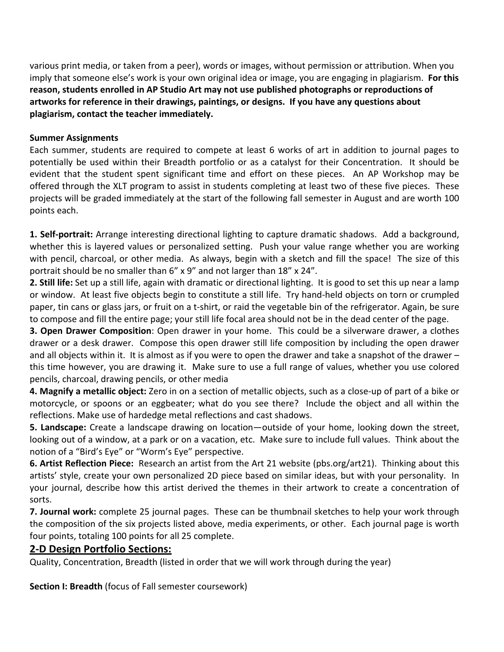various print media, or taken from a peer), words or images, without permission or attribution. When you imply that someone else's work is your own original idea or image, you are engaging in plagiarism. **For this** reason, students enrolled in AP Studio Art may not use published photographs or reproductions of artworks for reference in their drawings, paintings, or designs. If you have any questions about **plagiarism,
contact
the
teacher
immediately.** 

#### **Summer
Assignments**

Each summer, students are required to compete at least 6 works of art in addition to journal pages to potentially be used within their Breadth portfolio or as a catalyst for their Concentration. It should be evident that the student spent significant time and effort on these pieces. An AP Workshop may be offered through the XLT program to assist in students completing at least two of these five pieces. These projects will be graded immediately at the start of the following fall semester in August and are worth 100 points
each.

1. Self-portrait: Arrange interesting directional lighting to capture dramatic shadows. Add a background, whether this is layered values or personalized setting. Push your value range whether you are working with pencil, charcoal, or other media. As always, begin with a sketch and fill the space! The size of this portrait should be no smaller than 6" x 9" and not larger than 18" x 24".

2. Still life: Set up a still life, again with dramatic or directional lighting. It is good to set this up near a lamp or window. At least five objects begin to constitute a still life. Try hand-held objects on torn or crumpled paper, tin cans or glass jars, or fruit on a t-shirt, or raid the vegetable bin of the refrigerator. Again, be sure to compose and fill the entire page; your still life focal area should not be in the dead center of the page.

**3. Open Drawer Composition**: Open drawer in your home. This could be a silverware drawer, a clothes drawer or a desk drawer. Compose this open drawer still life composition by including the open drawer and all objects within it. It is almost as if you were to open the drawer and take a snapshot of the drawer – this time however, you are drawing it. Make sure to use a full range of values, whether you use colored pencils,
charcoal,
drawing
pencils,
or
other
media

4. Magnify a metallic object: Zero in on a section of metallic objects, such as a close-up of part of a bike or motorcycle, or spoons or an eggbeater; what do you see there? Include the object and all within the reflections.
Make
use
of
hardedge
metal
reflections
and
cast
shadows.

**5. Landscape:** Create a landscape drawing on location—outside of your home, looking down the street, looking out of a window, at a park or on a vacation, etc. Make sure to include full values. Think about the notion
of
a
"Bird's
Eye"
or
"Worm's
Eye"
perspective.

**6. Artist Reflection Piece:** Research an artist from the Art 21 website (pbs.org/art21). Thinking about this artists' style, create your own personalized 2D piece based on similar ideas, but with your personality. In your journal, describe how this artist derived the themes in their artwork to create a concentration of sorts.

7. **Journal work:** complete 25 journal pages. These can be thumbnail sketches to help your work through the
composition
of
the
six
projects
listed
above,
media
experiments,
or
other.

Each
journal
page
is
worth four
points,
totaling
100
points
for
all
25
complete.

# **2‐D
Design
Portfolio
Sections:**

Quality, Concentration, Breadth (listed in order that we will work through during the year)

**Section I: Breadth** (focus of Fall semester coursework)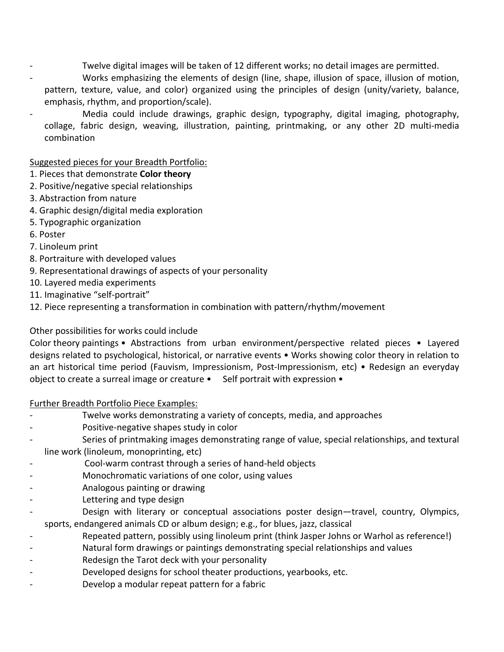- Twelve digital images will be taken of 12 different works; no detail images are permitted.
- Works emphasizing the elements of design (line, shape, illusion of space, illusion of motion, pattern, texture, value, and color) organized using the principles of design (unity/variety, balance, emphasis,
rhythm,
and
proportion/scale).
- Media could include drawings, graphic design, typography, digital imaging, photography, collage, fabric design, weaving, illustration, painting, printmaking, or any other 2D multi-media combination

### Suggested
pieces
for
your
Breadth
Portfolio:

- 1.
Pieces
that
demonstrate **Color
theory**
- 2.
Positive/negative
special
relationships
- 3.
Abstraction
from
nature
- 4.
Graphic
design/digital
media
exploration
- 5.
Typographic
organization
- 6.
Poster
- 7.
Linoleum
print
- 8.
Portraiture
with
developed
values
- 9.
Representational
drawings
of
aspects
of
your
personality
- 10.
Layered
media
experiments
- 11.
Imaginative
"self‐portrait"
- 12.
Piece
representing
a
transformation
in
combination
with
pattern/rhythm/movement

### Other
possibilities
for
works
could
include

Color theory paintings • Abstractions from urban environment/perspective related pieces • Layered designs related to psychological, historical, or narrative events • Works showing color theory in relation to an art historical time period (Fauvism, Impressionism, Post-Impressionism, etc) • Redesign an everyday object to create a surreal image or creature • Self portrait with expression •

#### Further
Breadth
Portfolio
Piece
Examples:

- Twelve works demonstrating a variety of concepts, media, and approaches
- Positive-negative shapes study in color
- Series of printmaking images demonstrating range of value, special relationships, and textural line
work
(linoleum,
monoprinting,
etc)
- ‐ Cool‐warm
contrast
through
a
series
of
hand‐held
objects
- Monochromatic variations of one color, using values
- ‐ Analogous
painting
or
drawing
- Lettering and type design
- Design with literary or conceptual associations poster design-travel, country, Olympics, sports, endangered animals CD or album design; e.g., for blues, jazz, classical
- Repeated pattern, possibly using linoleum print (think Jasper Johns or Warhol as reference!)
- Natural form drawings or paintings demonstrating special relationships and values
- Redesign the Tarot deck with your personality
- Developed designs for school theater productions, yearbooks, etc.
- Develop a modular repeat pattern for a fabric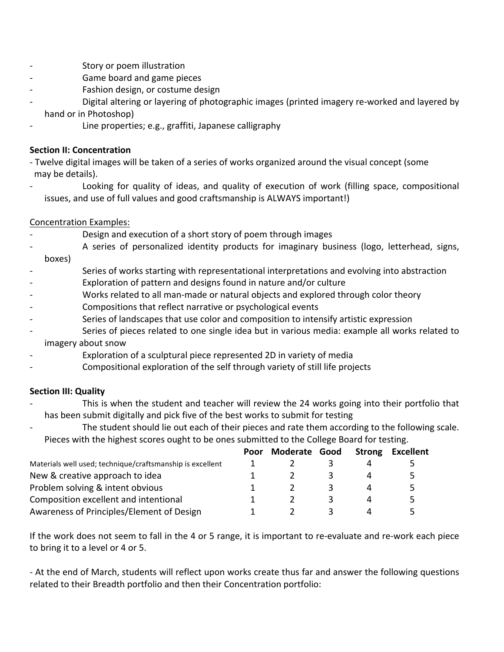- ‐ Story
or
poem
illustration
- Game board and game pieces
- Fashion design, or costume design
- Digital altering or layering of photographic images (printed imagery re-worked and layered by hand
or
in
Photoshop)
- Line properties; e.g., graffiti, Japanese calligraphy

#### **Section
II:
Concentration**

- Twelve digital images will be taken of a series of works organized around the visual concept (some may
be
details).
- Looking for quality of ideas, and quality of execution of work (filling space, compositional issues, and use of full values and good craftsmanship is ALWAYS important!)

### Concentration
Examples:

- Design and execution of a short story of poem through images
- A series of personalized identity products for imaginary business (logo, letterhead, signs, boxes)
- Series of works starting with representational interpretations and evolving into abstraction
- Exploration of pattern and designs found in nature and/or culture
- Works related to all man-made or natural objects and explored through color theory
- Compositions that reflect narrative or psychological events
- Series of landscapes that use color and composition to intensify artistic expression
- Series of pieces related to one single idea but in various media: example all works related to imagery
about
snow
- Exploration of a sculptural piece represented 2D in variety of media
- Compositional exploration of the self through variety of still life projects

# **Section
III:
Quality**

- This is when the student and teacher will review the 24 works going into their portfolio that has
been
submit
digitally
and
pick
five
of
the
best
works
to
submit
for
testing
	- The student should lie out each of their pieces and rate them according to the following scale. Pieces with the highest scores ought to be ones submitted to the College Board for testing.

|                                                           | Poor | Moderate Good | <b>Strong</b> | Excellent |
|-----------------------------------------------------------|------|---------------|---------------|-----------|
| Materials well used; technique/craftsmanship is excellent |      |               |               |           |
| New & creative approach to idea                           |      |               |               | 5         |
| Problem solving & intent obvious                          |      |               |               | 5         |
| Composition excellent and intentional                     |      |               |               | 5         |
| Awareness of Principles/Element of Design                 |      |               |               |           |

If the work does not seem to fall in the 4 or 5 range, it is important to re-evaluate and re-work each piece to bring it to a level or 4 or 5.

- At the end of March, students will reflect upon works create thus far and answer the following questions related to their Breadth portfolio and then their Concentration portfolio: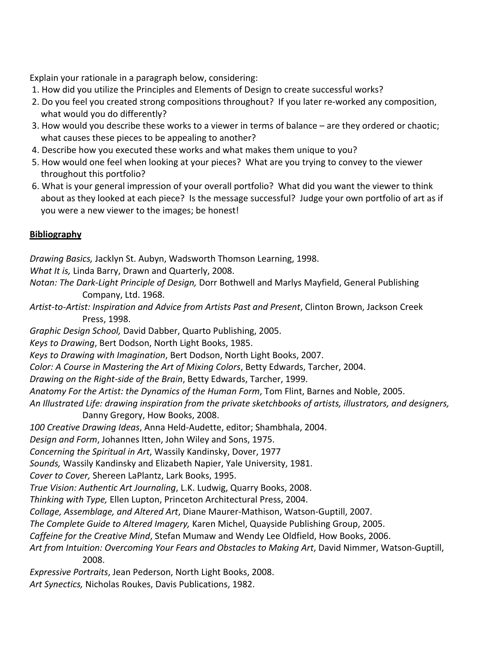Explain your rationale in a paragraph below, considering:

- 1. How did you utilize the Principles and Elements of Design to create successful works?
- 2. Do you feel you created strong compositions throughout? If you later re-worked any composition, what would you do differently?
- 3. How would you describe these works to a viewer in terms of balance are they ordered or chaotic; what causes these pieces to be appealing to another?
- 4. Describe how you executed these works and what makes them unique to you?
- 5. How would one feel when looking at your pieces? What are you trying to convey to the viewer throughout
this
portfolio?
- 6. What is your general impression of your overall portfolio? What did you want the viewer to think about as they looked at each piece? Is the message successful? Judge your own portfolio of art as if you
were
a
new
viewer
to
the
images;
be
honest!

# **Bibliography**

*Drawing
Basics,*Jacklyn
St.
Aubyn,
Wadsworth
Thomson
Learning,
1998.

What It is, Linda Barry, Drawn and Quarterly, 2008.

- Notan: The Dark-Light Principle of Design, Dorr Bothwell and Marlys Mayfield, General Publishing Company,
Ltd.
1968.
- Artist-to-Artist: Inspiration and Advice from Artists Past and Present, Clinton Brown, Jackson Creek Press,
1998.

*Graphic
Design
School,*David
Dabber,
Quarto
Publishing,
2005.

Keys to Drawing, Bert Dodson, North Light Books, 1985.

*Keys
to
Drawing
with
Imagination*,
Bert
Dodson,
North
Light
Books,
2007.

Color: A Course in Mastering the Art of Mixing Colors, Betty Edwards, Tarcher, 2004.

*Drawing
on
the
Right‐side
of
the
Brain*,
Betty
Edwards,
Tarcher,
1999.

Anatomy For the Artist: the Dynamics of the Human Form, Tom Flint, Barnes and Noble, 2005.

An Illustrated Life: drawing inspiration from the private sketchbooks of artists, illustrators, and designers,

Danny
Gregory,
How
Books,
2008.

100 Creative Drawing Ideas, Anna Held-Audette, editor; Shambhala, 2004.

*Design
and
Form*,
Johannes
Itten,
John
Wiley
and
Sons,
1975.

*Concerning
the
Spiritual
in
Art*,
Wassily
Kandinsky,
Dover,
1977

Sounds, Wassily Kandinsky and Elizabeth Napier, Yale University, 1981.

Cover to Cover, Shereen LaPlantz, Lark Books, 1995.

*True
Vision:
Authentic
Art
Journaling*,
L.K.
Ludwig,
Quarry
Books,
2008.

Thinking with Type, Ellen Lupton, Princeton Architectural Press, 2004.

Collage, Assemblage, and Altered Art, Diane Maurer-Mathison, Watson-Guptill, 2007.

The Complete Guide to Altered Imagery, Karen Michel, Quayside Publishing Group, 2005.

Caffeine for the Creative Mind, Stefan Mumaw and Wendy Lee Oldfield, How Books, 2006.

Art from Intuition: Overcoming Your Fears and Obstacles to Making Art, David Nimmer, Watson-Guptill, 2008.

*Expressive
Portraits*,
Jean
Pederson,
North
Light
Books,
2008.

Art Synectics, Nicholas Roukes, Davis Publications, 1982.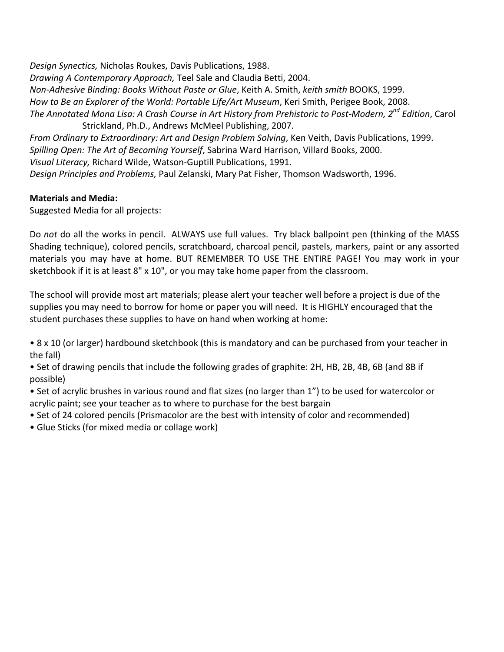*Design
Synectics,*Nicholas
Roukes,
Davis
Publications,
1988. *Drawing
A
Contemporary
Approach,* Teel
Sale
and
Claudia
Betti,
2004. *Non‐Adhesive
Binding:
Books
Without
Paste
or
Glue*,
Keith
A.
Smith, *keith
smith*BOOKS,
1999. How to Be an Explorer of the World: Portable Life/Art Museum, Keri Smith, Perigee Book, 2008. The Annotated Mona Lisa: A Crash Course in Art History from Prehistoric to Post-Modern, 2<sup>nd</sup> Edition, Carol Strickland,
Ph.D.,
Andrews
McMeel
Publishing,
2007. From Ordinary to Extraordinary: Art and Design Problem Solving, Ken Veith, Davis Publications, 1999.

Spilling Open: The Art of Becoming Yourself, Sabrina Ward Harrison, Villard Books, 2000.

Visual Literacy, Richard Wilde, Watson-Guptill Publications, 1991.

Design Principles and Problems, Paul Zelanski, Mary Pat Fisher, Thomson Wadsworth, 1996.

#### **Materials
and
Media:**

#### Suggested Media for all projects:

Do not do all the works in pencil. ALWAYS use full values. Try black ballpoint pen (thinking of the MASS Shading
technique),
colored
pencils,
scratchboard,
charcoal
pencil,
pastels,
markers,
paint
or
any
assorted materials you may have at home. BUT REMEMBER TO USE THE ENTIRE PAGE! You may work in your sketchbook if it is at least 8" x 10", or you may take home paper from the classroom.

The school will provide most art materials; please alert your teacher well before a project is due of the supplies you may need to borrow for home or paper you will need. It is HIGHLY encouraged that the student
purchases
these
supplies
to
have
on
hand
when
working
at
home:

• 8 x 10 (or larger) hardbound sketchbook (this is mandatory and can be purchased from your teacher in the
fall)

- Set of drawing pencils that include the following grades of graphite: 2H, HB, 2B, 4B, 6B (and 8B if possible)
- Set of acrylic brushes in various round and flat sizes (no larger than 1") to be used for watercolor or acrylic paint; see your teacher as to where to purchase for the best bargain
- Set of 24 colored pencils (Prismacolor are the best with intensity of color and recommended)
- •
Glue
Sticks
(for
mixed
media
or
collage
work)